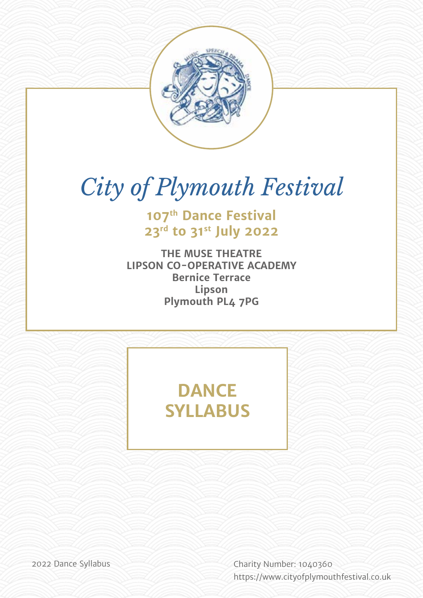

# *City of Plymouth Festival*

**107th Dance Festival 23rd to 31st July 2022**

**THE MUSE THEATRE LIPSON CO-OPERATIVE ACADEMY Bernice Terrace Lipson Plymouth PL4 7PG**

## **DANCE SYLLABUS**

2022 Dance Syllabus Charity Number: 1040360 [https://](http://bigbluecurrant.com)www.cityofplymouthfestival.co.uk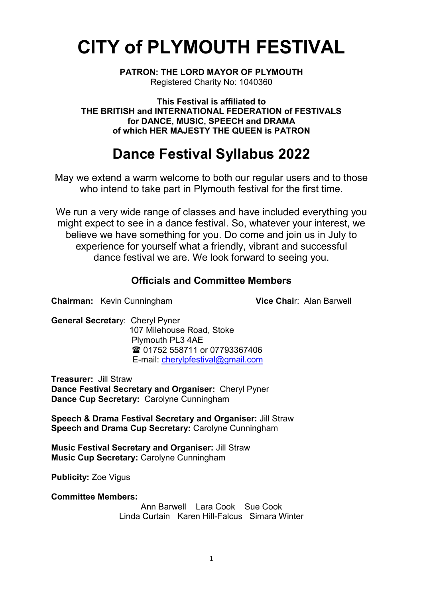## **CITY of PLYMOUTH FESTIVAL**

**PATRON: THE LORD MAYOR OF PLYMOUTH** Registered Charity No: 1040360

**This Festival is affiliated to THE BRITISH and INTERNATIONAL FEDERATION of FESTIVALS for DANCE, MUSIC, SPEECH and DRAMA of which HER MAJESTY THE QUEEN is PATRON**

## **Dance Festival Syllabus 2022**

May we extend a warm welcome to both our regular users and to those who intend to take part in Plymouth festival for the first time.

We run a very wide range of classes and have included everything you might expect to see in a dance festival. So, whatever your interest, we believe we have something for you. Do come and join us in July to experience for yourself what a friendly, vibrant and successful dance festival we are. We look forward to seeing you.

## **Officials and Committee Members**

**Chairman:** Kevin Cunningham **Vice Chai**r: Alan Barwell

**General Secretar**y: Cheryl Pyner

 107 Milehouse Road, Stoke Plymouth PL3 4AE **■ 01752 558711 or 07793367406** E-mail: [cherylpfestival@gmail.com](mailto:cherylpfestival@gmail.com) 

**Treasurer:** Jill Straw **Dance Festival Secretary and Organiser:** Cheryl Pyner **Dance Cup Secretary:** Carolyne Cunningham

**Speech & Drama Festival Secretary and Organiser:** Jill Straw **Speech and Drama Cup Secretary:** Carolyne Cunningham

**Music Festival Secretary and Organiser:** Jill Straw **Music Cup Secretary:** Carolyne Cunningham

**Publicity:** Zoe Vigus

**Committee Members:**

Ann Barwell Lara Cook Sue Cook Linda Curtain Karen Hill-Falcus Simara Winter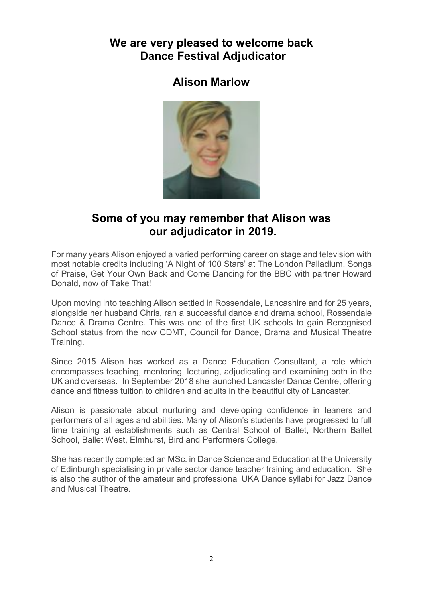## **We are very pleased to welcome back Dance Festival Adjudicator**

## **Alison Marlow**



## **Some of you may remember that Alison was our adjudicator in 2019.**

For many years Alison enjoyed a varied performing career on stage and television with most notable credits including 'A Night of 100 Stars' at The London Palladium, Songs of Praise, Get Your Own Back and Come Dancing for the BBC with partner Howard Donald, now of Take That!

Upon moving into teaching Alison settled in Rossendale, Lancashire and for 25 years, alongside her husband Chris, ran a successful dance and drama school, Rossendale Dance & Drama Centre. This was one of the first UK schools to gain Recognised School status from the now CDMT, Council for Dance, Drama and Musical Theatre Training.

Since 2015 Alison has worked as a Dance Education Consultant, a role which encompasses teaching, mentoring, lecturing, adjudicating and examining both in the UK and overseas. In September 2018 she launched Lancaster Dance Centre, offering dance and fitness tuition to children and adults in the beautiful city of Lancaster.

Alison is passionate about nurturing and developing confidence in leaners and performers of all ages and abilities. Many of Alison's students have progressed to full time training at establishments such as Central School of Ballet, Northern Ballet School, Ballet West, Elmhurst, Bird and Performers College.

She has recently completed an MSc. in Dance Science and Education at the University of Edinburgh specialising in private sector dance teacher training and education. She is also the author of the amateur and professional UKA Dance syllabi for Jazz Dance and Musical Theatre.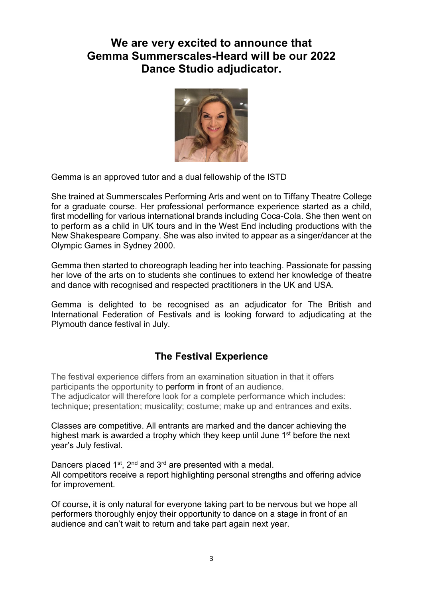## **We are very excited to announce that Gemma Summerscales-Heard will be our 2022 Dance Studio adjudicator.**



Gemma is an approved tutor and a dual fellowship of the ISTD

She trained at Summerscales Performing Arts and went on to Tiffany Theatre College for a graduate course. Her professional performance experience started as a child, first modelling for various international brands including Coca-Cola. She then went on to perform as a child in UK tours and in the West End including productions with the New Shakespeare Company. She was also invited to appear as a singer/dancer at the Olympic Games in Sydney 2000.

Gemma then started to choreograph leading her into teaching. Passionate for passing her love of the arts on to students she continues to extend her knowledge of theatre and dance with recognised and respected practitioners in the UK and USA.

Gemma is delighted to be recognised as an adjudicator for The British and International Federation of Festivals and is looking forward to adjudicating at the Plymouth dance festival in July.

## **The Festival Experience**

The festival experience differs from an examination situation in that it offers participants the opportunity to perform in front of an audience. The adjudicator will therefore look for a complete performance which includes: technique; presentation; musicality; costume; make up and entrances and exits.

Classes are competitive. All entrants are marked and the dancer achieving the highest mark is awarded a trophy which they keep until June 1<sup>st</sup> before the next year's July festival.

Dancers placed 1<sup>st</sup>, 2<sup>nd</sup> and 3<sup>rd</sup> are presented with a medal. All competitors receive a report highlighting personal strengths and offering advice for improvement.

Of course, it is only natural for everyone taking part to be nervous but we hope all performers thoroughly enjoy their opportunity to dance on a stage in front of an audience and can't wait to return and take part again next year.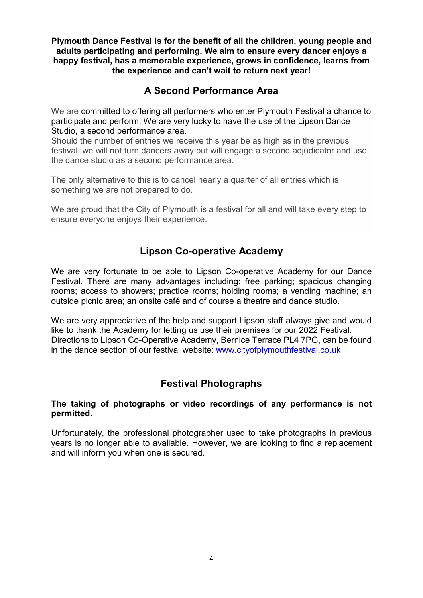**Plymouth Dance Festival is for the benefit of all the children, young people and adults participating and performing. We aim to ensure every dancer enjoys a happy festival, has a memorable experience, grows in confidence, learns from the experience and can't wait to return next year!**

## **A Second Performance Area**

We are committed to offering all performers who enter Plymouth Festival a chance to participate and perform. We are very lucky to have the use of the Lipson Dance Studio, a second performance area.

Should the number of entries we receive this year be as high as in the previous festival, we will not turn dancers away but will engage a second adjudicator and use the dance studio as a second performance area.

The only alternative to this is to cancel nearly a quarter of all entries which is something we are not prepared to do.

We are proud that the City of Plymouth is a festival for all and will take every step to ensure everyone enjoys their experience.

## **Lipson Co-operative Academy**

We are very fortunate to be able to Lipson Co-operative Academy for our Dance Festival. There are many advantages including: free parking; spacious changing rooms; access to showers; practice rooms; holding rooms; a vending machine; an outside picnic area; an onsite café and of course a theatre and dance studio.

We are very appreciative of the help and support Lipson staff always give and would like to thank the Academy for letting us use their premises for our 2022 Festival. Directions to Lipson Co-Operative Academy, Bernice Terrace PL4 7PG, can be found in the dance section of our festival website: [www.cityofplymouthfestival.co.uk](http://www.cityofplymouthfestival.co.uk/)

## **Festival Photographs**

### **The taking of photographs or video recordings of any performance is not permitted.**

Unfortunately, the professional photographer used to take photographs in previous years is no longer able to available. However, we are looking to find a replacement and will inform you when one is secured.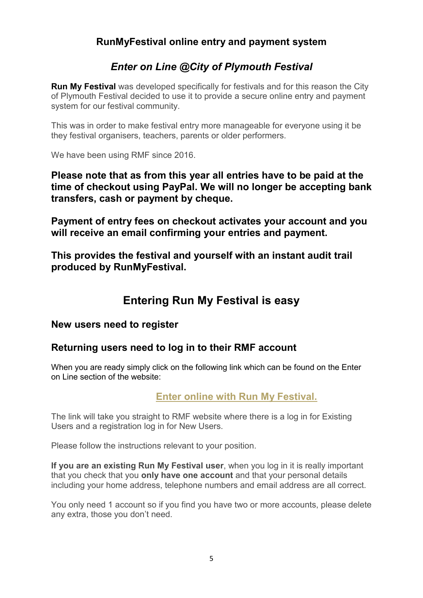## **RunMyFestival online entry and payment system**

## *Enter on Line @City of Plymouth Festival*

**Run My Festival** was developed specifically for festivals and for this reason the City of Plymouth Festival decided to use it to provide a secure online entry and payment system for our festival community.

This was in order to make festival entry more manageable for everyone using it be they festival organisers, teachers, parents or older performers.

We have been using RMF since 2016.

**Please note that as from this year all entries have to be paid at the time of checkout using PayPal. We will no longer be accepting bank transfers, cash or payment by cheque.**

**Payment of entry fees on checkout activates your account and you will receive an email confirming your entries and payment.** 

**This provides the festival and yourself with an instant audit trail produced by RunMyFestival.**

## **Entering Run My Festival is easy**

## **New users need to register**

## **Returning users need to log in to their RMF account**

When you are ready simply click on the following link which can be found on the Enter on Line section of the website:

## **[Enter online with](https://plym.runmyfestival.net/runMyFestival/security/welcome.jsf) Run My Festival.**

The link will take you straight to RMF website where there is a log in for Existing Users and a registration log in for New Users.

Please follow the instructions relevant to your position.

**If you are an existing Run My Festival user**, when you log in it is really important that you check that you **only have one account** and that your personal details including your home address, telephone numbers and email address are all correct.

You only need 1 account so if you find you have two or more accounts, please delete any extra, those you don't need.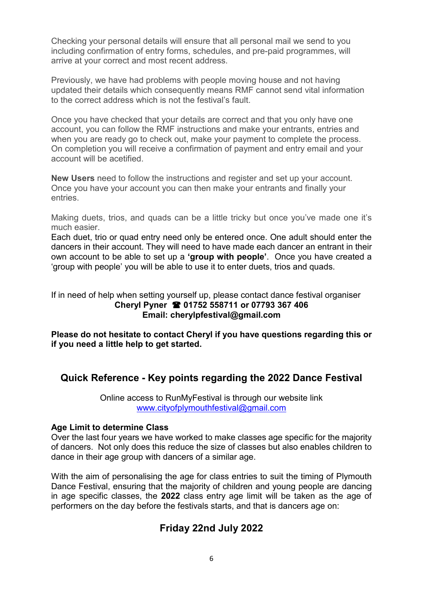Checking your personal details will ensure that all personal mail we send to you including confirmation of entry forms, schedules, and pre-paid programmes, will arrive at your correct and most recent address.

Previously, we have had problems with people moving house and not having updated their details which consequently means RMF cannot send vital information to the correct address which is not the festival's fault.

Once you have checked that your details are correct and that you only have one account, you can follow the RMF instructions and make your entrants, entries and when you are ready go to check out, make your payment to complete the process. On completion you will receive a confirmation of payment and entry email and your account will be acetified.

**New Users** need to follow the instructions and register and set up your account. Once you have your account you can then make your entrants and finally your entries.

Making duets, trios, and quads can be a little tricky but once you've made one it's much easier.

Each duet, trio or quad entry need only be entered once. One adult should enter the dancers in their account. They will need to have made each dancer an entrant in their own account to be able to set up a **'group with people'**. Once you have created a 'group with people' you will be able to use it to enter duets, trios and quads.

If in need of help when setting yourself up, please contact dance festival organiser **Cheryl Pyner 01752 558711 or 07793 367 406 Email: cherylpfestival@gmail.com**

**Please do not hesitate to contact Cheryl if you have questions regarding this or if you need a little help to get started.** 

## **Quick Reference - Key points regarding the 2022 Dance Festival**

Online access to RunMyFestival is through our website link [www.cityofplymouthfestival@gmail.com](http://www.cityofplymouthfestival@gmail.com)

### **Age Limit to determine Class**

Over the last four years we have worked to make classes age specific for the majority of dancers. Not only does this reduce the size of classes but also enables children to dance in their age group with dancers of a similar age.

With the aim of personalising the age for class entries to suit the timing of Plymouth Dance Festival, ensuring that the majority of children and young people are dancing in age specific classes, the **2022** class entry age limit will be taken as the age of performers on the day before the festivals starts, and that is dancers age on:

## **Friday 22nd July 2022**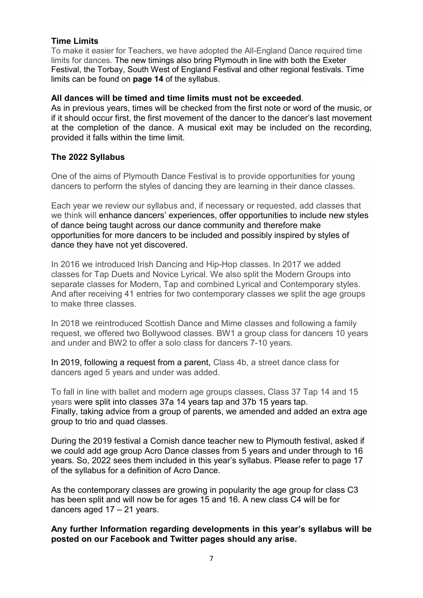### **Time Limits**

To make it easier for Teachers, we have adopted the All-England Dance required time limits for dances. The new timings also bring Plymouth in line with both the Exeter Festival, the Torbay, South West of England Festival and other regional festivals. Time limits can be found on **page 14** of the syllabus.

#### **All dances will be timed and time limits must not be exceeded**.

As in previous years, times will be checked from the first note or word of the music, or if it should occur first, the first movement of the dancer to the dancer's last movement at the completion of the dance. A musical exit may be included on the recording, provided it falls within the time limit.

## **The 2022 Syllabus**

One of the aims of Plymouth Dance Festival is to provide opportunities for young dancers to perform the styles of dancing they are learning in their dance classes.

Each year we review our syllabus and, if necessary or requested, add classes that we think will enhance dancers' experiences, offer opportunities to include new styles of dance being taught across our dance community and therefore make opportunities for more dancers to be included and possibly inspired by styles of dance they have not yet discovered.

In 2016 we introduced Irish Dancing and Hip-Hop classes. In 2017 we added classes for Tap Duets and Novice Lyrical. We also split the Modern Groups into separate classes for Modern, Tap and combined Lyrical and Contemporary styles. And after receiving 41 entries for two contemporary classes we split the age groups to make three classes.

In 2018 we reintroduced Scottish Dance and Mime classes and following a family request, we offered two Bollywood classes. BW1 a group class for dancers 10 years and under and BW2 to offer a solo class for dancers 7-10 years.

In 2019, following a request from a parent, Class 4b, a street dance class for dancers aged 5 years and under was added.

To fall in line with ballet and modern age groups classes, Class 37 Tap 14 and 15 years were split into classes 37a 14 years tap and 37b 15 years tap. Finally, taking advice from a group of parents, we amended and added an extra age group to trio and quad classes.

During the 2019 festival a Cornish dance teacher new to Plymouth festival, asked if we could add age group Acro Dance classes from 5 years and under through to 16 years. So, 2022 sees them included in this year's syllabus. Please refer to page 17 of the syllabus for a definition of Acro Dance.

As the contemporary classes are growing in popularity the age group for class C3 has been split and will now be for ages 15 and 16. A new class C4 will be for dancers aged 17 – 21 years.

### **Any further Information regarding developments in this year's syllabus will be posted on our Facebook and Twitter pages should any arise.**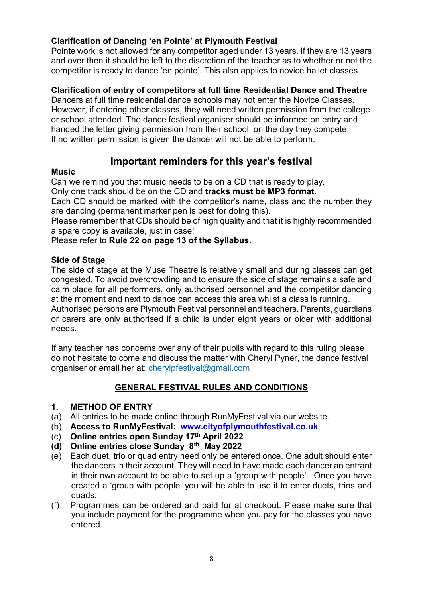## **Clarification of Dancing 'en Pointe' at Plymouth Festival**

Pointe work is not allowed for any competitor aged under 13 years. If they are 13 years and over then it should be left to the discretion of the teacher as to whether or not the competitor is ready to dance 'en pointe'. This also applies to novice ballet classes.

## **Clarification of entry of competitors at full time Residential Dance and Theatre**

Dancers at full time residential dance schools may not enter the Novice Classes. However, if entering other classes, they will need written permission from the college or school attended. The dance festival organiser should be informed on entry and handed the letter giving permission from their school, on the day they compete. If no written permission is given the dancer will not be able to perform.

## **Important reminders for this year's festival**

### **Music**

Can we remind you that music needs to be on a CD that is ready to play.

Only one track should be on the CD and **tracks must be MP3 format**.

Each CD should be marked with the competitor's name, class and the number they are dancing (permanent marker pen is best for doing this).

Please remember that CDs should be of high quality and that it is highly recommended a spare copy is available, just in case!

Please refer to **Rule 22 on page 13 of the Syllabus.**

## **Side of Stage**

The side of stage at the Muse Theatre is relatively small and during classes can get congested. To avoid overcrowding and to ensure the side of stage remains a safe and calm place for all performers, only authorised personnel and the competitor dancing at the moment and next to dance can access this area whilst a class is running. Authorised persons are Plymouth Festival personnel and teachers. Parents, guardians or carers are only authorised if a child is under eight years or older with additional needs.

If any teacher has concerns over any of their pupils with regard to this ruling please do not hesitate to come and discuss the matter with Cheryl Pyner, the dance festival organiser or email her at: cherylpfestival@gmail.com

## **GENERAL FESTIVAL RULES AND CONDITIONS**

### **1. METHOD OF ENTRY**

- (a) All entries to be made online through RunMyFestival via our website.
- (b) **Access to RunMyFestival: [www.cityofplymouthfestival.co.uk](http://www.cityofplymouthfestival.co.uk/)**
- (c) **Online entries open Sunday 17th April 2022**
- **(d) Online entries close Sunday 8th May 2022**
- (e) Each duet, trio or quad entry need only be entered once. One adult should enter the dancers in their account. They will need to have made each dancer an entrant in their own account to be able to set up a 'group with people'. Once you have created a 'group with people' you will be able to use it to enter duets, trios and quads.
- (f) Programmes can be ordered and paid for at checkout. Please make sure that you include payment for the programme when you pay for the classes you have entered.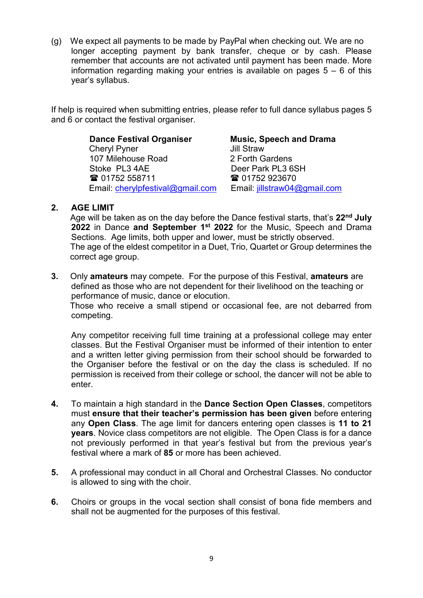(g) We expect all payments to be made by PayPal when checking out. We are no longer accepting payment by bank transfer, cheque or by cash. Please remember that accounts are not activated until payment has been made. More information regarding making your entries is available on pages  $5 - 6$  of this year's syllabus.

If help is required when submitting entries, please refer to full dance syllabus pages 5 and 6 or contact the festival organiser.

> **Dance Festival Organiser Music, Speech and Drama**<br>Chervl Pyner **Music, Speech and Drama Cheryl Pyner** 107 Milehouse Road 2 Forth Gardens<br>
> Stoke PL3 4AE 2 Deer Park PL3 6 01752 558711 01752 923670 Email: [cherylpfestival@gmail.com](mailto:cherylpfestival@gmail.com) Email: [jillstraw04@gmail.com](mailto:jillstraw04@gmail.com)

Deer Park PL3 6SH

## **2. AGE LIMIT**

Age will be taken as on the day before the Dance festival starts, that's **22nd July 2022** in Dance **and September 1st 2022** for the Music, Speech and Drama Sections. Age limits, both upper and lower, must be strictly observed. The age of the eldest competitor in a Duet, Trio, Quartet or Group determines the correct age group.

**3.** Only **amateurs** may compete. For the purpose of this Festival, **amateurs** are defined as those who are not dependent for their livelihood on the teaching or performance of music, dance or elocution.

 Those who receive a small stipend or occasional fee, are not debarred from competing.

Any competitor receiving full time training at a professional college may enter classes. But the Festival Organiser must be informed of their intention to enter and a written letter giving permission from their school should be forwarded to the Organiser before the festival or on the day the class is scheduled. If no permission is received from their college or school, the dancer will not be able to enter.

- **4.** To maintain a high standard in the **Dance Section Open Classes**, competitors must **ensure that their teacher's permission has been given** before entering any **Open Class**. The age limit for dancers entering open classes is **11 to 21 years**. Novice class competitors are not eligible. The Open Class is for a dance not previously performed in that year's festival but from the previous year's festival where a mark of **85** or more has been achieved.
- **5.** A professional may conduct in all Choral and Orchestral Classes. No conductor is allowed to sing with the choir.
- **6.** Choirs or groups in the vocal section shall consist of bona fide members and shall not be augmented for the purposes of this festival.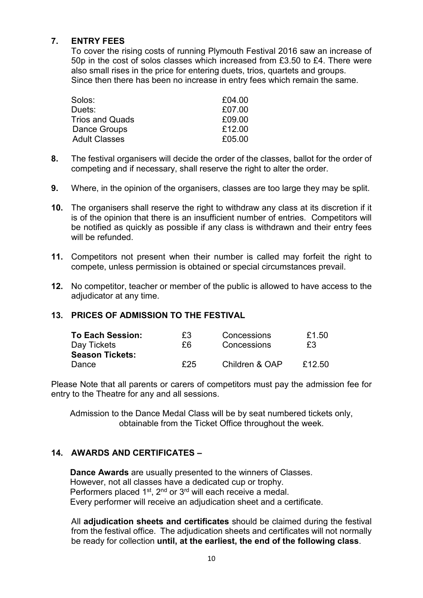## **7. ENTRY FEES**

To cover the rising costs of running Plymouth Festival 2016 saw an increase of 50p in the cost of solos classes which increased from £3.50 to £4. There were also small rises in the price for entering duets, trios, quartets and groups. Since then there has been no increase in entry fees which remain the same.

| Solos:                 | £04.00 |
|------------------------|--------|
| Duets:                 | £07.00 |
| <b>Trios and Quads</b> | £09.00 |
| Dance Groups           | £12.00 |
| <b>Adult Classes</b>   | £05.00 |

- **8.** The festival organisers will decide the order of the classes, ballot for the order of competing and if necessary, shall reserve the right to alter the order.
- **9.** Where, in the opinion of the organisers, classes are too large they may be split.
- **10.** The organisers shall reserve the right to withdraw any class at its discretion if it is of the opinion that there is an insufficient number of entries. Competitors will be notified as quickly as possible if any class is withdrawn and their entry fees will be refunded.
- **11.** Competitors not present when their number is called may forfeit the right to compete, unless permission is obtained or special circumstances prevail.
- **12.** No competitor, teacher or member of the public is allowed to have access to the adiudicator at any time.

## **13. PRICES OF ADMISSION TO THE FESTIVAL**

| <b>To Each Session:</b> | £3  | Concessions    | £1.50  |
|-------------------------|-----|----------------|--------|
| Day Tickets             | £6  | Concessions    | £3     |
| <b>Season Tickets:</b>  |     |                |        |
| Dance                   | £25 | Children & OAP | £12.50 |

Please Note that all parents or carers of competitors must pay the admission fee for entry to the Theatre for any and all sessions.

Admission to the Dance Medal Class will be by seat numbered tickets only, obtainable from the Ticket Office throughout the week.

## **14. AWARDS AND CERTIFICATES –**

 **Dance Awards** are usually presented to the winners of Classes. However, not all classes have a dedicated cup or trophy. Performers placed 1<sup>st</sup>, 2<sup>nd</sup> or 3<sup>rd</sup> will each receive a medal. Every performer will receive an adjudication sheet and a certificate.

All **adjudication sheets and certificates** should be claimed during the festival from the festival office. The adjudication sheets and certificates will not normally be ready for collection **until, at the earliest, the end of the following class**.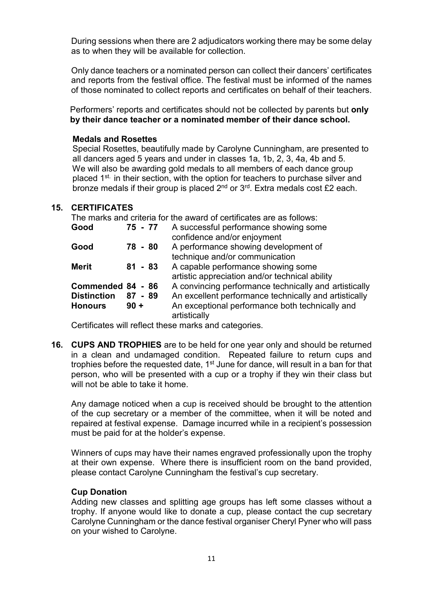During sessions when there are 2 adjudicators working there may be some delay as to when they will be available for collection.

Only dance teachers or a nominated person can collect their dancers' certificates and reports from the festival office. The festival must be informed of the names of those nominated to collect reports and certificates on behalf of their teachers.

 Performers' reports and certificates should not be collected by parents but **only by their dance teacher or a nominated member of their dance school.**

### **Medals and Rosettes**

Special Rosettes, beautifully made by Carolyne Cunningham, are presented to all dancers aged 5 years and under in classes 1a, 1b, 2, 3, 4a, 4b and 5. We will also be awarding gold medals to all members of each dance group placed 1<sup>st.</sup> in their section, with the option for teachers to purchase silver and bronze medals if their group is placed 2<sup>nd</sup> or 3<sup>rd</sup>. Extra medals cost £2 each.

## **15. CERTIFICATES**

The marks and criteria for the award of certificates are as follows:

| Good                                                      | $75 - 77$           | A successful performance showing some<br>confidence and/or enjoyment                                                                                                              |
|-----------------------------------------------------------|---------------------|-----------------------------------------------------------------------------------------------------------------------------------------------------------------------------------|
| Good                                                      | 78 - 80             | A performance showing development of<br>technique and/or communication                                                                                                            |
| <b>Merit</b>                                              | $81 - 83$           | A capable performance showing some<br>artistic appreciation and/or technical ability                                                                                              |
| Commended 84 - 86<br><b>Distinction</b><br><b>Honours</b> | $87 - 89$<br>$90 +$ | A convincing performance technically and artistically<br>An excellent performance technically and artistically<br>An exceptional performance both technically and<br>artistically |

Certificates will reflect these marks and categories.

**16. CUPS AND TROPHIES** are to be held for one year only and should be returned in a clean and undamaged condition. Repeated failure to return cups and trophies before the requested date,  $1<sup>st</sup>$  June for dance, will result in a ban for that person, who will be presented with a cup or a trophy if they win their class but will not be able to take it home.

Any damage noticed when a cup is received should be brought to the attention of the cup secretary or a member of the committee, when it will be noted and repaired at festival expense. Damage incurred while in a recipient's possession must be paid for at the holder's expense.

Winners of cups may have their names engraved professionally upon the trophy at their own expense. Where there is insufficient room on the band provided, please contact Carolyne Cunningham the festival's cup secretary.

### **Cup Donation**

Adding new classes and splitting age groups has left some classes without a trophy. If anyone would like to donate a cup, please contact the cup secretary Carolyne Cunningham or the dance festival organiser Cheryl Pyner who will pass on your wished to Carolyne.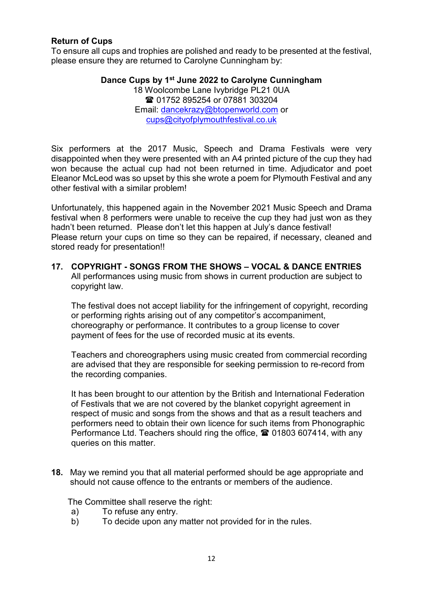## **Return of Cups**

To ensure all cups and trophies are polished and ready to be presented at the festival, please ensure they are returned to Carolyne Cunningham by:

> **Dance Cups by 1st June 2022 to Carolyne Cunningham** 18 Woolcombe Lane Ivybridge PL21 0UA **■ 01752 895254 or 07881 303204** Email: [dancekrazy@btopenworld.com](mailto:dancekrazy@btopenworld.com) or [cups@cityofplymouthfestival.co.uk](mailto:cups@cityofplymouthfestival.co.uk)

Six performers at the 2017 Music, Speech and Drama Festivals were very disappointed when they were presented with an A4 printed picture of the cup they had won because the actual cup had not been returned in time. Adjudicator and poet Eleanor McLeod was so upset by this she wrote a poem for Plymouth Festival and any other festival with a similar problem!

Unfortunately, this happened again in the November 2021 Music Speech and Drama festival when 8 performers were unable to receive the cup they had just won as they hadn't been returned. Please don't let this happen at July's dance festival! Please return your cups on time so they can be repaired, if necessary, cleaned and stored ready for presentation!!

**17. COPYRIGHT - SONGS FROM THE SHOWS – VOCAL & DANCE ENTRIES** All performances using music from shows in current production are subject to copyright law.

The festival does not accept liability for the infringement of copyright, recording or performing rights arising out of any competitor's accompaniment, choreography or performance. It contributes to a group license to cover payment of fees for the use of recorded music at its events.

Teachers and choreographers using music created from commercial recording are advised that they are responsible for seeking permission to re-record from the recording companies.

It has been brought to our attention by the British and International Federation of Festivals that we are not covered by the blanket copyright agreement in respect of music and songs from the shows and that as a result teachers and performers need to obtain their own licence for such items from Phonographic Performance Ltd. Teachers should ring the office,  $\mathbf{\hat{z}}$  01803 607414, with any queries on this matter.

**18.** May we remind you that all material performed should be age appropriate and should not cause offence to the entrants or members of the audience.

The Committee shall reserve the right:

- a) To refuse any entry.
- b) To decide upon any matter not provided for in the rules.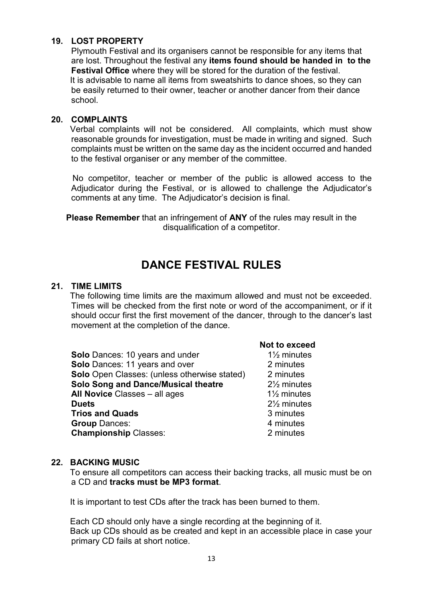## **19. LOST PROPERTY**

Plymouth Festival and its organisers cannot be responsible for any items that are lost. Throughout the festival any **items found should be handed in to the Festival Office** where they will be stored for the duration of the festival. It is advisable to name all items from sweatshirts to dance shoes, so they can be easily returned to their owner, teacher or another dancer from their dance school.

#### **20. COMPLAINTS**

Verbal complaints will not be considered. All complaints, which must show reasonable grounds for investigation, must be made in writing and signed. Such complaints must be written on the same day as the incident occurred and handed to the festival organiser or any member of the committee.

No competitor, teacher or member of the public is allowed access to the Adjudicator during the Festival, or is allowed to challenge the Adjudicator's comments at any time. The Adjudicator's decision is final.

**Please Remember** that an infringement of **ANY** of the rules may result in the disqualification of a competitor.

## **DANCE FESTIVAL RULES**

#### **21. TIME LIMITS**

 The following time limits are the maximum allowed and must not be exceeded. Times will be checked from the first note or word of the accompaniment, or if it should occur first the first movement of the dancer, through to the dancer's last movement at the completion of the dance.

|                                                     | ישע נט טאטטי          |
|-----------------------------------------------------|-----------------------|
| Solo Dances: 10 years and under                     | $1\frac{1}{2}$ minute |
| <b>Solo</b> Dances: 11 years and over               | 2 minutes             |
| <b>Solo</b> Open Classes: (unless otherwise stated) | 2 minutes             |
| Solo Song and Dance/Musical theatre                 | $2\frac{1}{2}$ minute |
| <b>All Novice Classes - all ages</b>                | $1\frac{1}{2}$ minute |
| <b>Duets</b>                                        | $2\frac{1}{2}$ minute |
| <b>Trios and Quads</b>                              | 3 minutes             |
| <b>Group Dances:</b>                                | 4 minutes             |
| <b>Championship Classes:</b>                        | 2 minutes             |
|                                                     |                       |

#### **Not to exceed**

1<sup>1</sup>/<sub>2</sub> minutes **Solon** Departures **Solon Z** minutes **Solo Song and Dance/Musical theatre** 2½ minutes 1<sup>1</sup>/<sub>2</sub> minutes **Duets** 2½ minutes **3 minutes** 4 minutes

#### **22. BACKING MUSIC**

 To ensure all competitors can access their backing tracks, all music must be on a CD and **tracks must be MP3 format**.

It is important to test CDs after the track has been burned to them.

 Each CD should only have a single recording at the beginning of it. Back up CDs should as be created and kept in an accessible place in case your primary CD fails at short notice.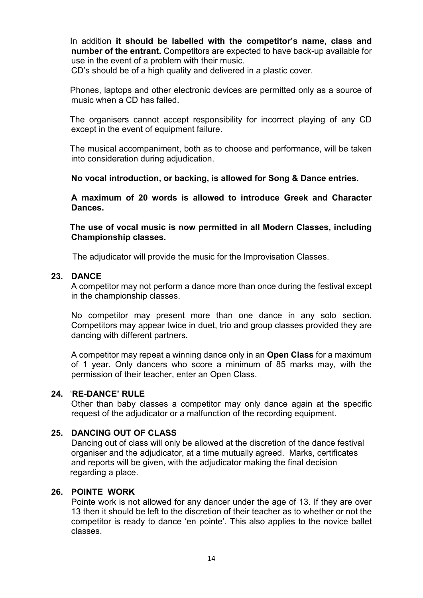In addition **it should be labelled with the competitor's name, class and number of the entrant.** Competitors are expected to have back-up available for use in the event of a problem with their music.

CD's should be of a high quality and delivered in a plastic cover.

 Phones, laptops and other electronic devices are permitted only as a source of music when a CD has failed.

 The organisers cannot accept responsibility for incorrect playing of any CD except in the event of equipment failure.

 The musical accompaniment, both as to choose and performance, will be taken into consideration during adjudication.

**No vocal introduction, or backing, is allowed for Song & Dance entries.**

**A maximum of 20 words is allowed to introduce Greek and Character Dances.**

 **The use of vocal music is now permitted in all Modern Classes, including Championship classes.**

The adjudicator will provide the music for the Improvisation Classes.

#### **23. DANCE**

A competitor may not perform a dance more than once during the festival except in the championship classes.

No competitor may present more than one dance in any solo section. Competitors may appear twice in duet, trio and group classes provided they are dancing with different partners.

A competitor may repeat a winning dance only in an **Open Class** for a maximum of 1 year. Only dancers who score a minimum of 85 marks may, with the permission of their teacher, enter an Open Class.

### **24.** '**RE-DANCE' RULE**

Other than baby classes a competitor may only dance again at the specific request of the adjudicator or a malfunction of the recording equipment.

#### **25. DANCING OUT OF CLASS**

Dancing out of class will only be allowed at the discretion of the dance festival organiser and the adjudicator, at a time mutually agreed. Marks, certificates and reports will be given, with the adjudicator making the final decision regarding a place.

#### **26. POINTE WORK**

Pointe work is not allowed for any dancer under the age of 13. If they are over 13 then it should be left to the discretion of their teacher as to whether or not the competitor is ready to dance 'en pointe'. This also applies to the novice ballet classes.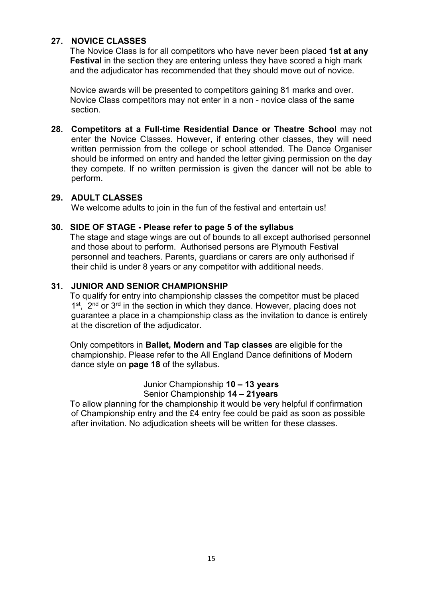## **27. NOVICE CLASSES**

 The Novice Class is for all competitors who have never been placed **1st at any Festival** in the section they are entering unless they have scored a high mark and the adjudicator has recommended that they should move out of novice.

 Novice awards will be presented to competitors gaining 81 marks and over. Novice Class competitors may not enter in a non - novice class of the same section.

**28. Competitors at a Full-time Residential Dance or Theatre School** may not enter the Novice Classes. However, if entering other classes, they will need written permission from the college or school attended. The Dance Organiser should be informed on entry and handed the letter giving permission on the day they compete. If no written permission is given the dancer will not be able to perform.

## **29. ADULT CLASSES**

We welcome adults to join in the fun of the festival and entertain us!

## **30. SIDE OF STAGE - Please refer to page 5 of the syllabus**

The stage and stage wings are out of bounds to all except authorised personnel and those about to perform. Authorised persons are Plymouth Festival personnel and teachers. Parents, guardians or carers are only authorised if their child is under 8 years or any competitor with additional needs.

## **31. JUNIOR AND SENIOR CHAMPIONSHIP**

To qualify for entry into championship classes the competitor must be placed 1<sup>st</sup>, 2<sup>nd</sup> or 3<sup>rd</sup> in the section in which they dance. However, placing does not guarantee a place in a championship class as the invitation to dance is entirely at the discretion of the adjudicator.

 Only competitors in **Ballet, Modern and Tap classes** are eligible for the championship. Please refer to the All England Dance definitions of Modern dance style on **page 18** of the syllabus.

> Junior Championship **10 – 13 years** Senior Championship **14 – 21years**

 To allow planning for the championship it would be very helpful if confirmation of Championship entry and the £4 entry fee could be paid as soon as possible after invitation. No adjudication sheets will be written for these classes.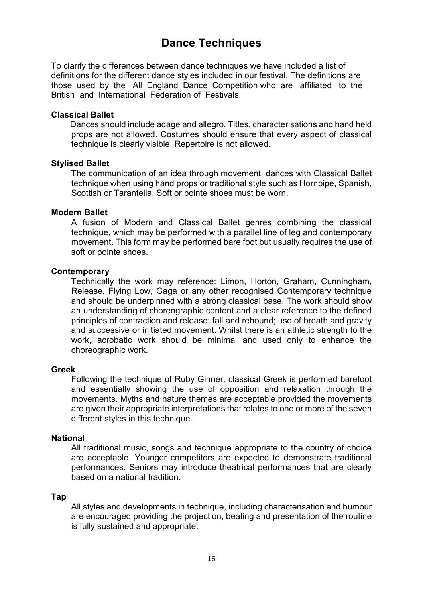## **Dance Techniques**

To clarify the differences between dance techniques we have included a list of definitions for the different dance styles included in our festival. The definitions are those used by the All England Dance Competition who are affiliated to the British and International Federation of Festivals.

#### **Classical Ballet**

Dances should include adage and allegro. Titles, characterisations and hand held props are not allowed. Costumes should ensure that every aspect of classical technique is clearly visible. Repertoire is not allowed.

#### **Stylised Ballet**

The communication of an idea through movement, dances with Classical Ballet technique when using hand props or traditional style such as Hornpipe, Spanish, Scottish or Tarantella. Soft or pointe shoes must be worn.

#### **Modern Ballet**

A fusion of Modern and Classical Ballet genres combining the classical technique, which may be performed with a parallel line of leg and contemporary movement. This form may be performed bare foot but usually requires the use of soft or pointe shoes.

#### **Contemporary**

Technically the work may reference: Limon, Horton, Graham, Cunningham, Release, Flying Low, Gaga or any other recognised Contemporary technique and should be underpinned with a strong classical base. The work should show an understanding of choreographic content and a clear reference to the defined principles of contraction and release; fall and rebound; use of breath and gravity and successive or initiated movement. Whilst there is an athletic strength to the work, acrobatic work should be minimal and used only to enhance the choreographic work.

#### **Greek**

Following the technique of Ruby Ginner, classical Greek is performed barefoot and essentially showing the use of opposition and relaxation through the movements. Myths and nature themes are acceptable provided the movements are given their appropriate interpretations that relates to one or more of the seven different styles in this technique.

#### **National**

All traditional music, songs and technique appropriate to the country of choice are acceptable. Younger competitors are expected to demonstrate traditional performances. Seniors may introduce theatrical performances that are clearly based on a national tradition.

#### **Tap**

All styles and developments in technique, including characterisation and humour are encouraged providing the projection, beating and presentation of the routine is fully sustained and appropriate.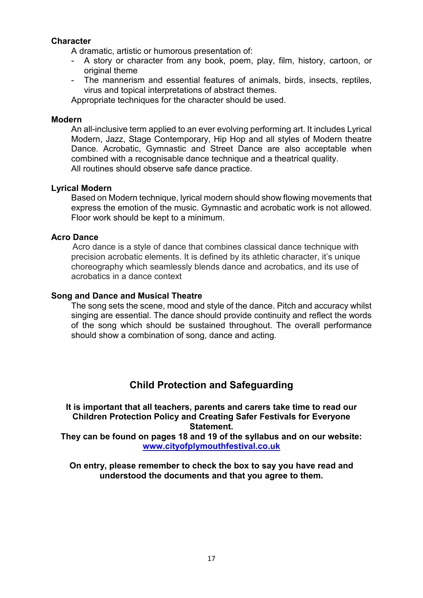## **Character**

A dramatic, artistic or humorous presentation of:

- A story or character from any book, poem, play, film, history, cartoon, or original theme
- The mannerism and essential features of animals, birds, insects, reptiles, virus and topical interpretations of abstract themes.

Appropriate techniques for the character should be used.

#### **Modern**

An all-inclusive term applied to an ever evolving performing art. It includes Lyrical Modern, Jazz, Stage Contemporary, Hip Hop and all styles of Modern theatre Dance. Acrobatic, Gymnastic and Street Dance are also acceptable when combined with a recognisable dance technique and a theatrical quality. All routines should observe safe dance practice.

#### **Lyrical Modern**

Based on Modern technique, lyrical modern should show flowing movements that express the emotion of the music. Gymnastic and acrobatic work is not allowed. Floor work should be kept to a minimum.

#### **Acro Dance**

 Acro dance is a style of dance that combines classical dance technique with precision acrobatic elements. It is defined by its athletic character, it's unique choreography which seamlessly blends dance and acrobatics, and its use of acrobatics in a dance context

#### **Song and Dance and Musical Theatre**

The song sets the scene, mood and style of the dance. Pitch and accuracy whilst singing are essential. The dance should provide continuity and reflect the words of the song which should be sustained throughout. The overall performance should show a combination of song, dance and acting.

## **Child Protection and Safeguarding**

**It is important that all teachers, parents and carers take time to read our Children Protection Policy and Creating Safer Festivals for Everyone Statement.**

**They can be found on pages 18 and 19 of the syllabus and on our website: [www.cityofplymouthfestival.co.uk](http://www.cityofplymouthfestival.co.uk/)**

**On entry, please remember to check the box to say you have read and understood the documents and that you agree to them.**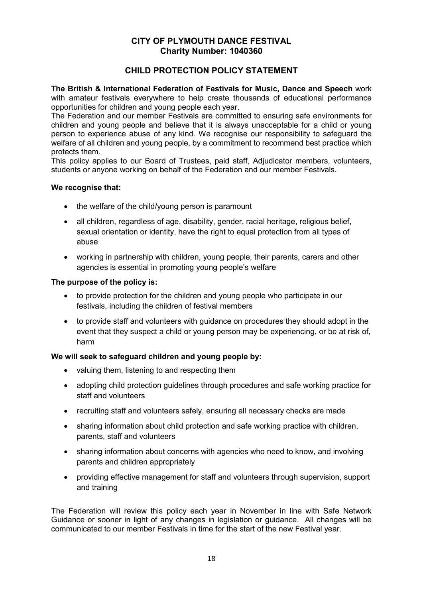#### **CITY OF PLYMOUTH DANCE FESTIVAL Charity Number: 1040360**

## **CHILD PROTECTION POLICY STATEMENT**

**The British & International Federation of Festivals for Music, Dance and Speech** work with amateur festivals everywhere to help create thousands of educational performance opportunities for children and young people each year.

The Federation and our member Festivals are committed to ensuring safe environments for children and young people and believe that it is always unacceptable for a child or young person to experience abuse of any kind. We recognise our responsibility to safeguard the welfare of all children and young people, by a commitment to recommend best practice which protects them.

This policy applies to our Board of Trustees, paid staff, Adjudicator members, volunteers, students or anyone working on behalf of the Federation and our member Festivals.

#### **We recognise that:**

- the welfare of the child/young person is paramount
- all children, regardless of age, disability, gender, racial heritage, religious belief, sexual orientation or identity, have the right to equal protection from all types of abuse
- working in partnership with children, young people, their parents, carers and other agencies is essential in promoting young people's welfare

#### **The purpose of the policy is:**

- to provide protection for the children and young people who participate in our festivals, including the children of festival members
- to provide staff and volunteers with guidance on procedures they should adopt in the event that they suspect a child or young person may be experiencing, or be at risk of, harm

### **We will seek to safeguard children and young people by:**

- valuing them, listening to and respecting them
- adopting child protection guidelines through procedures and safe working practice for staff and volunteers
- recruiting staff and volunteers safely, ensuring all necessary checks are made
- sharing information about child protection and safe working practice with children, parents, staff and volunteers
- sharing information about concerns with agencies who need to know, and involving parents and children appropriately
- providing effective management for staff and volunteers through supervision, support and training

The Federation will review this policy each year in November in line with Safe Network Guidance or sooner in light of any changes in legislation or guidance. All changes will be communicated to our member Festivals in time for the start of the new Festival year.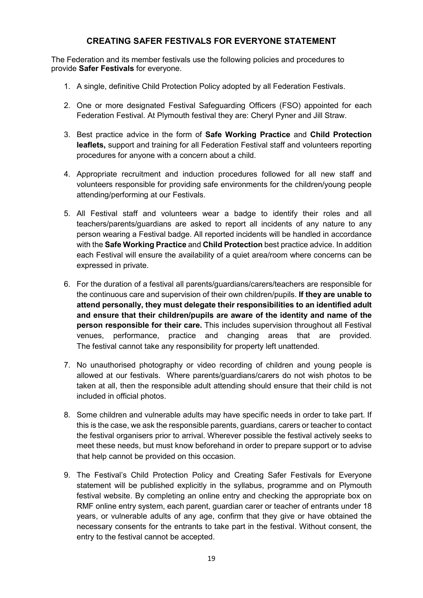## **CREATING SAFER FESTIVALS FOR EVERYONE STATEMENT**

The Federation and its member festivals use the following policies and procedures to provide **Safer Festivals** for everyone.

- 1. A single, definitive Child Protection Policy adopted by all Federation Festivals.
- 2. One or more designated Festival Safeguarding Officers (FSO) appointed for each Federation Festival. At Plymouth festival they are: Cheryl Pyner and Jill Straw.
- 3. Best practice advice in the form of **Safe Working Practice** and **Child Protection leaflets,** support and training for all Federation Festival staff and volunteers reporting procedures for anyone with a concern about a child.
- 4. Appropriate recruitment and induction procedures followed for all new staff and volunteers responsible for providing safe environments for the children/young people attending/performing at our Festivals.
- 5. All Festival staff and volunteers wear a badge to identify their roles and all teachers/parents/guardians are asked to report all incidents of any nature to any person wearing a Festival badge. All reported incidents will be handled in accordance with the **Safe Working Practice** and **Child Protection** best practice advice. In addition each Festival will ensure the availability of a quiet area/room where concerns can be expressed in private.
- 6. For the duration of a festival all parents/guardians/carers/teachers are responsible for the continuous care and supervision of their own children/pupils. **If they are unable to attend personally, they must delegate their responsibilities to an identified adult and ensure that their children/pupils are aware of the identity and name of the person responsible for their care.** This includes supervision throughout all Festival venues, performance, practice and changing areas that are provided. The festival cannot take any responsibility for property left unattended.
- 7. No unauthorised photography or video recording of children and young people is allowed at our festivals. Where parents/guardians/carers do not wish photos to be taken at all, then the responsible adult attending should ensure that their child is not included in official photos.
- 8. Some children and vulnerable adults may have specific needs in order to take part. If this is the case, we ask the responsible parents, guardians, carers or teacher to contact the festival organisers prior to arrival. Wherever possible the festival actively seeks to meet these needs, but must know beforehand in order to prepare support or to advise that help cannot be provided on this occasion.
- 9. The Festival's Child Protection Policy and Creating Safer Festivals for Everyone statement will be published explicitly in the syllabus, programme and on Plymouth festival website. By completing an online entry and checking the appropriate box on RMF online entry system, each parent, guardian carer or teacher of entrants under 18 years, or vulnerable adults of any age, confirm that they give or have obtained the necessary consents for the entrants to take part in the festival. Without consent, the entry to the festival cannot be accepted.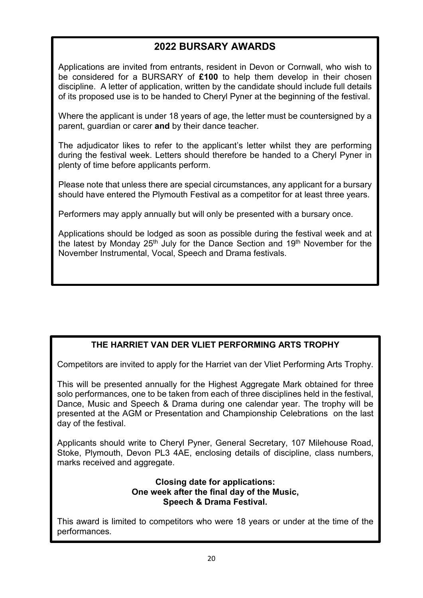## **2022 BURSARY AWARDS**

Applications are invited from entrants, resident in Devon or Cornwall, who wish to be considered for a BURSARY of **£100** to help them develop in their chosen discipline. A letter of application, written by the candidate should include full details of its proposed use is to be handed to Cheryl Pyner at the beginning of the festival.

Where the applicant is under 18 years of age, the letter must be countersigned by a parent, guardian or carer **and** by their dance teacher.

The adjudicator likes to refer to the applicant's letter whilst they are performing during the festival week. Letters should therefore be handed to a Cheryl Pyner in plenty of time before applicants perform.

Please note that unless there are special circumstances, any applicant for a bursary should have entered the Plymouth Festival as a competitor for at least three years.

Performers may apply annually but will only be presented with a bursary once.

Applications should be lodged as soon as possible during the festival week and at the latest by Monday 25<sup>th</sup> July for the Dance Section and 19<sup>th</sup> November for the November Instrumental, Vocal, Speech and Drama festivals.

## **THE HARRIET VAN DER VLIET PERFORMING ARTS TROPHY**

Competitors are invited to apply for the Harriet van der Vliet Performing Arts Trophy.

This will be presented annually for the Highest Aggregate Mark obtained for three solo performances, one to be taken from each of three disciplines held in the festival, Dance, Music and Speech & Drama during one calendar year. The trophy will be presented at the AGM or Presentation and Championship Celebrations on the last day of the festival.

Applicants should write to Cheryl Pyner, General Secretary, 107 Milehouse Road, Stoke, Plymouth, Devon PL3 4AE, enclosing details of discipline, class numbers, marks received and aggregate.

## **Closing date for applications: One week after the final day of the Music, Speech & Drama Festival.**

This award is limited to competitors who were 18 years or under at the time of the performances*.*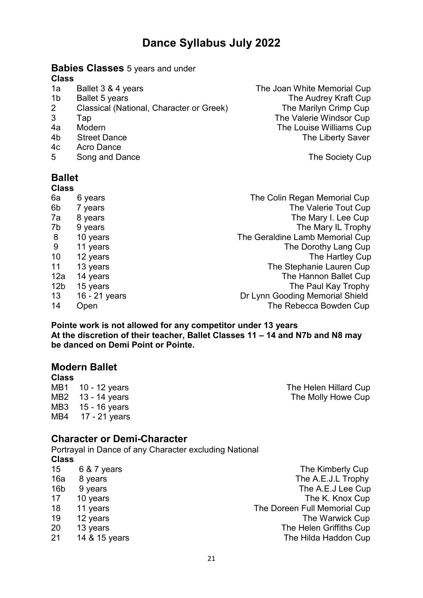#### **Babies Classes** 5 years and under **Class**

- 
- 
- 2 Classical (National, Character or Greek) The Marilyn Crimp Cup
- 
- 
- 
- 4c Acro Dance
- 5 Song and Dance **The Society Cup**

#### **Ballet Class**

| UIASS           |               |                                 |
|-----------------|---------------|---------------------------------|
| 6a              | 6 years       | The Colin Regan Memorial Cup    |
| 6b              | 7 years       | The Valerie Tout Cup            |
| 7a              | 8 years       | The Mary I. Lee Cup             |
| 7b              | 9 years       | The Mary IL Trophy              |
| 8               | 10 years      | The Geraldine Lamb Memorial Cup |
| 9               | 11 years      | The Dorothy Lang Cup            |
| 10              | 12 years      | The Hartley Cup                 |
| 11              | 13 years      | The Stephanie Lauren Cup        |
| 12a             | 14 years      | The Hannon Ballet Cup           |
| 12 <sub>b</sub> | 15 years      | The Paul Kay Trophy             |
| 13 <sup>°</sup> | 16 - 21 years | Dr Lynn Gooding Memorial Shield |
| 14              | Open          | The Rebecca Bowden Cup          |

**Pointe work is not allowed for any competitor under 13 years At the discretion of their teacher, Ballet Classes 11 – 14 and N7b and N8 may be danced on Demi Point or Pointe.** 

## **Modern Ballet**

**Class**<br>MB1 10 - 12 years MB3 15 - 16 years<br>MB4 17 - 21 years 17 - 21 years

The Helen Hillard Cup MB2 13 - 14 years The Molly Howe Cup

## **Character or Demi-Character**

Portrayal in Dance of any Character excluding National **Class**

| 15              | 6 & 7 years   | The Kimberly Cup             |
|-----------------|---------------|------------------------------|
| 16a             | 8 years       | The A.E.J.L Trophy           |
| 16 <sub>b</sub> | 9 years       | The A.E.J Lee Cup            |
| 17              | 10 years      | The K. Knox Cup              |
| 18              | 11 years      | The Doreen Full Memorial Cup |
| 19              | 12 years      | The Warwick Cup              |
| 20              | 13 years      | The Helen Griffiths Cup      |
| 21              | 14 & 15 years | The Hilda Haddon Cup         |

1a Ballet 3 & 4 years **The Joan White Memorial Cup** 1b Ballet 5 years The Audrey Kraft Cup 3 Tap The Valerie Windsor Cup 4a Modern 1990 Modern 1990 Modern 1990 Modern 1990 Mulliams Cup<br>4b Street Dance 1990 Mulliams Cup 1990 Mulliams Cup 4b Street Dance **The Liberty Saver**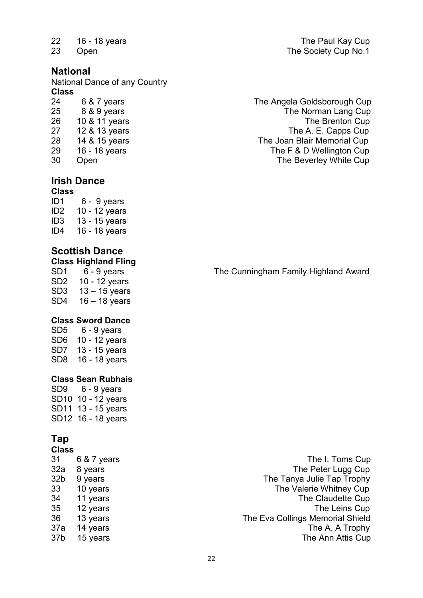## **National**

National Dance of any Country **Class**

| 24 | 6 & 7 years   |
|----|---------------|
| 25 | 8 & 9 years   |
| 26 | 10 & 11 years |
| 27 | 12 & 13 years |
| 28 | 14 & 15 years |
| 29 | 16 - 18 years |
| ۹Λ | ∩nen          |

#### **Irish Dance Class**

ID1 6 - 9 years ID2 10 - 12 years ID3 13 - 15 years<br>ID4 16 - 18 years 16 - 18 years

## **Scottish Dance**

**Class Highland Fling**

SD2 10 - 12 years SD3 13 – 15 years SD4 16 – 18 years

## **Class Sword Dance**<br>SD5 6 - 9 vears

 $6 - 9$  years SD6 10 - 12 years SD7 13 - 15 years SD8 16 - 18 years

### **Class Sean Rubhais**

SD9 6 - 9 years SD10 10 - 12 years SD11 13 - 15 years SD12 16 - 18 years

## **Tap**

### **Class**

| 31              | 6 & 7 years |
|-----------------|-------------|
| 32a             | 8 years     |
| 32 <sub>b</sub> | 9 years     |
| 33              | 10 years    |
| 34              | 11 years    |
| 35              | 12 years    |
| 36              | 13 years    |
| 37a             | 14 years    |
| 37 <sub>b</sub> | 15 years    |
|                 |             |

22 16 - 18 years The Paul Kay Cup<br>23 Open The Society Cup No.1 **23 Open** The Society Cup No.1

24 6 & 7 years The Angela Goldsborough Cup The Norman Lang Cup The Brenton Cup The A. E. Capps Cup The Joan Blair Memorial Cup The F & D Wellington Cup 30 Open The Beverley White Cup

The Cunningham Family Highland Award

The I. Toms Cup The Peter Lugg Cup The Tanya Julie Tap Trophy The Valerie Whitney Cup The Claudette Cup The Leins Cup The Eva Collings Memorial Shield The A. A Trophy The Ann Attis Cup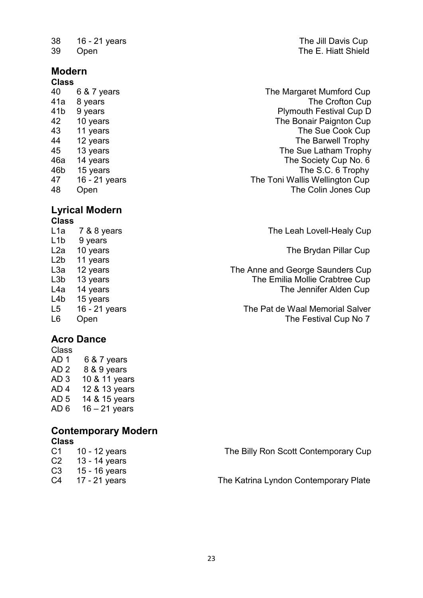38 16 - 21 years The Jill Davis Cup

## **Modern**

## **Class**

## **Lyrical Modern**

**Class** L1b 9 years L2b 11 years L4a 14 years The Jennifer Alden Cup<br>L4b 15 years The Jennifer Alden Cup 15 years

## **Acro Dance**

Class AD 1 6 & 7 years AD 2 8 & 9 years AD 3 10 & 11 years AD 4 12 & 13 years AD 5 14 & 15 years AD 6  $16 - 21$  years

#### **Contemporary Modern Class**

| $C1 \t 10 - 12$ years | The Billy Ron Scott Contemporary Cup  |
|-----------------------|---------------------------------------|
| C2 13 - 14 years      |                                       |
| $C3 \t15 - 16$ years  |                                       |
| C4 17 - 21 years      | The Katrina Lyndon Contemporary Plate |
|                       |                                       |

**39 Open** The E. Hiatt Shield

40 6 & 7 years The Margaret Mumford Cup 41a 8 years The Crofton Cup external of the US of the Superintendent Series of the Plymouth Festival Cup D<br>12 10 years Paignt Series of the Bonair Paignton Cup 42 10 years The Bonair Paignton Cup 43 11 years 11 years 11 years 11 years 11 years 11 years 12 years 12 years 12 years 12 years 12 years 12 years 12 years 12 years 12 years 12 years 12 years 12 years 12 years 12 years 12 years 12 years 12 years 12 years 12 12 years The Barwell Trophy 45 13 years 13 years 13 years 13 years 14 years 14 years 14 years 14 years 14 years 14 years 14 years 14 years 14 years 14 years 14 years 14 years 14 years 14 years 14 years 14 years 14 years 14 years 14 years 14 years 14 The Society Cup No. 6 46b 15 years The S.C. 6 Trophy 47 16 - 21 years The Toni Wallis Wellington Cup 48 Open The Colin Jones Cup

The Leah Lovell-Healy Cup

L2a 10 years **The Brydan Pillar Cup** 

L3a 12 years The Anne and George Saunders Cup L3b 13 years **The Emilia Mollie Crabtree Cup** 

L5 16 - 21 years The Pat de Waal Memorial Salver L6 Open **The Festival Cup No 7**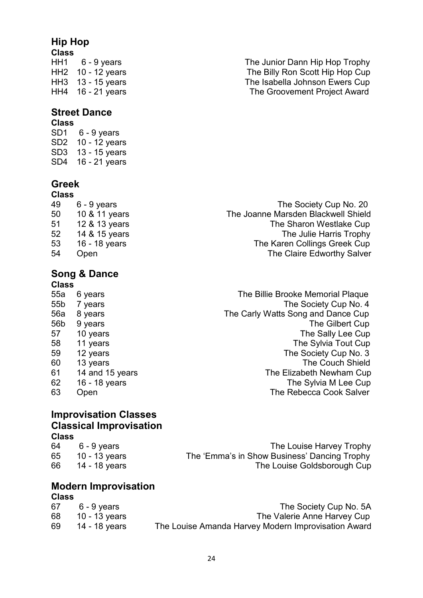## **Hip Hop**

**Class**

## **Street Dance**

#### **Class** SD1 6 - 9 years

SD2 10 - 12 years SD3 13 - 15 years SD4 16 - 21 years

## **Greek**

- **Class**
- 

## **Song & Dance**

**Class**<br>55a 6 years

### HH1 6 - 9 years The Junior Dann Hip Hop Trophy<br>HH2 10 - 12 vears The Billy Ron Scott Hip Hop Cup The Billy Ron Scott Hip Hop Cup HH3 13 - 15 years The Isabella Johnson Ewers Cup The Groovement Project Award

49 6 - 9 years The Society Cup No. 20<br>The Joanne Marsden Blackwell Shield 10 & 11 years The Joanne Marsden Blackwell Shield 12 & 13 years The Sharon Westlake Cup 52 14 & 15 years The Julie Harris Trophy 16 - 18 years The Karen Collings Greek Cup Open The Claire Edworthy Salver

The Billie Brooke Memorial Plaque 55b 7 years **The Society Cup No. 4** 56a 8 years The Carly Watts Song and Dance Cup 56b 9 years The Gilbert Cup 57 10 years The Sally Lee Cup 58 11 years The Sylvia Tout Cup 59 12 years The Society Cup No. 3 60 13 years The Couch Shield<br>14 and 15 years The Elizabeth Newham Cup 14 and 15 years The Elizabeth Newham Cup 62 16 - 18 years The Sylvia M Lee Cup 63 Open The Rebecca Cook Salver

### **Improvisation Classes Classical Improvisation Class**

| 64 | 6 - 9 years      | The Louise Harvey Trophy                     |
|----|------------------|----------------------------------------------|
|    | 65 10 - 13 years | The 'Emma's in Show Business' Dancing Trophy |
| 66 | 14 - 18 years    | The Louise Goldsborough Cup                  |

## **Modern Improvisation**

## **Class**

| 67 | 6 - 9 years   | The Society Cup No. 5A                              |
|----|---------------|-----------------------------------------------------|
| 68 | 10 - 13 years | The Valerie Anne Harvey Cup                         |
| 69 | 14 - 18 vears | The Louise Amanda Harvey Modern Improvisation Award |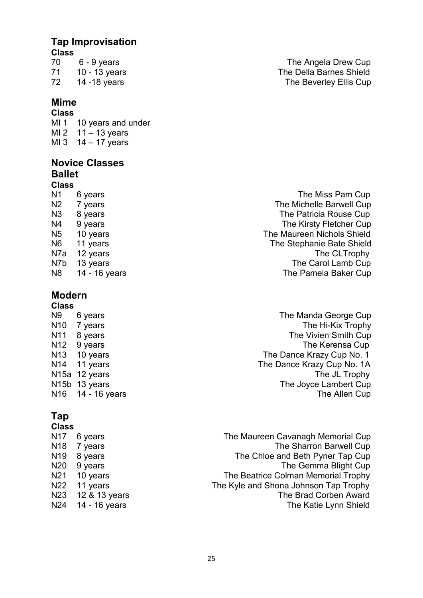## **Tap Improvisation**

## **Class**

## **Mime**

**Class**  MI 1 10 years and under<br>MI 2 11 - 13 years  $11 - 13$  years MI 3  $14 - 17$  years

## **Novice Classes Ballet**

### **Class**

| N1  | 6 years       | The Miss Pam Cup           |
|-----|---------------|----------------------------|
| N2  | 7 years       | The Michelle Barwell Cup   |
| N3  | 8 years       | The Patricia Rouse Cup     |
| N4  | 9 years       | The Kirsty Fletcher Cup    |
| N5  | 10 years      | The Maureen Nichols Shield |
| N6  | 11 years      | The Stephanie Bate Shield  |
| N7a | 12 years      | The CLTrophy               |
| N7b | 13 years      | The Carol Lamb Cup         |
| N8  | 14 - 16 years | The Pamela Baker Cup       |
|     |               |                            |

## **Modern**

## **Class**

N15a 12 years  $N16$  14 - 16 years

## **Tap**

#### **Class**

| N17             | 6 years       |
|-----------------|---------------|
| N <sub>18</sub> | 7 years       |
| N <sub>19</sub> | 8 years       |
| N20             | 9 years       |
| N21             | 10 years      |
| N22             | 11 years      |
| N23             | 12 & 13 years |
| N24             | 14 - 16 years |

70 6 - 9 years The Angela Drew Cup 71 10 - 13 years The Della Barnes Shield The Beverley Ellis Cup

6 years **The Manda George Cup** N10 7 years The Hi-Kix Trophy N11 8 years The Vivien Smith Cup<br>N12 9 years The Kerensa Cup N12 9 years The Kerensa Cup<br>N13 10 years The Dance Krazy Cup No. 1 N13 10 years The Dance Krazy Cup No. 1<br>N14 11 years The Dance Krazy Cup No. 1A The Dance Krazy Cup No. 1A<br>The JL Trophy N15b 13 years The Joyce Lambert Cup<br>N16 14 - 16 years The Joyce Lambert Cup

> The Maureen Cavanagh Memorial Cup The Sharron Barwell Cup The Chloe and Beth Pyner Tap Cup The Gemma Blight Cup The Beatrice Colman Memorial Trophy The Kyle and Shona Johnson Tap Trophy The Brad Corben Award The Katie Lynn Shield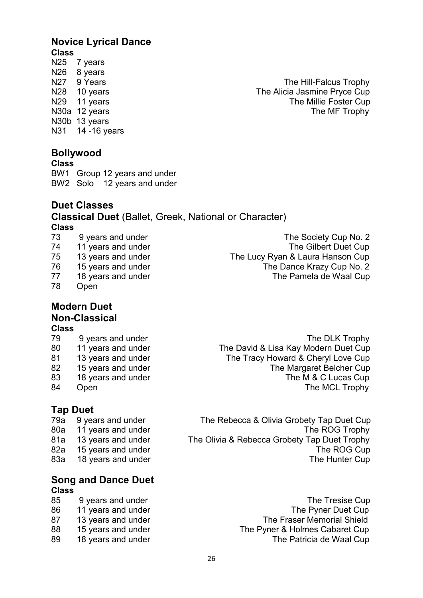## **Novice Lyrical Dance Class**

7 years N<sub>26</sub> 8 years N30b 13 years<br>N31 14 -16 ye 14 -16 years

## **Bollywood**

**Class** BW1 Group 12 years and under

BW2 Solo 12 years and under

## **Duet Classes**

**Classical Duet** (Ballet, Greek, National or Character) **Class**

- 
- 78 Open

## **Modern Duet Non-Classical**

**Class**

- 
- 
- 
- 
- 
- 

## **Tap Duet**

## **Song and Dance Duet Class**

- 
- 
- 
- 
- 

N27 9 Years The Hill-Falcus Trophy<br>N28 10 years The Alicia Jasmine Pryce Cup The Alicia Jasmine Pryce Cup N29 11 years The Millie Foster Cup<br>N30a 12 years The MF Trophy The MF Trophy

73 9 years and under The Society Cup No. 2<br>74 11 years and under The Gilbert Duet Cup 11 years and under The Gilbert Duet Cup 75 13 years and under The Lucy Ryan & Laura Hanson Cup 76 15 years and under The Dance Krazy Cup No. 2 77 18 years and under The Pamela de Waal Cup

9 years and under The DLK Trophy 80 11 years and under The David & Lisa Kay Modern Duet Cup 81 13 years and under The Tracy Howard & Cheryl Love Cup 82 15 years and under The Margaret Belcher Cup<br>83 18 years and under The M & C Lucas Cup The M & C Lucas Cup 84 Open The MCL Trophy

79a 9 years and under The Rebecca & Olivia Grobety Tap Duet Cup 80a 11 years and under The ROG Trophy 81a 13 years and under The Olivia & Rebecca Grobety Tap Duet Trophy 82a 15 years and under The ROG Cup 83a 18 years and under The Hunter Cup

85 9 years and under The Tresise Cup 86 11 years and under The Pyner Duet Cup 87 13 years and under The Fraser Memorial Shield 88 15 years and under The Pyner & Holmes Cabaret Cup 89 18 years and under The Patricia de Waal Cup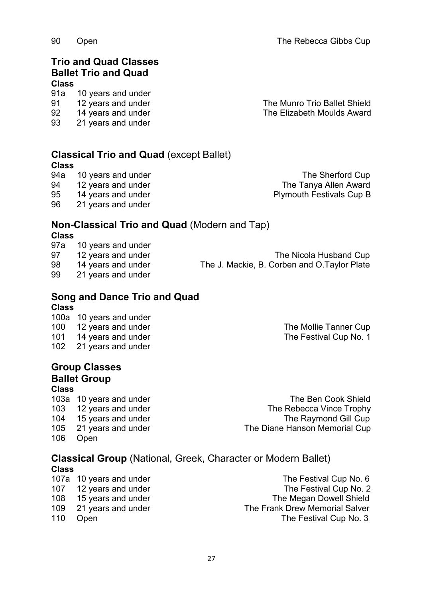**Classical Trio and Quad** (except Ballet)

**Trio and Quad Classes Ballet Trio and Quad**

91a 10 years and under

93 21 years and under

95 14 years and under **Plymouth Festivals Cup B** 

96 21 years and under

## **Non-Classical Trio and Quad** (Modern and Tap)

91 12 years and under The Munro Trio Ballet Shield<br>92 14 years and under The Elizabeth Moulds Award 92 14 years and under The Elizabeth Moulds Award

## **Class**

**Class**

10 years and under<br>12 years and under 97 12 years and under The Nicola Husband Cup 98 14 years and under The J. Mackie, B. Corben and O.Taylor Plate 99 21 years and under

### **Song and Dance Trio and Quad Class**

100a 10 years and under 100 12 years and under The Mollie Tanner Cup 101 14 years and under The Festival Cup No. 1<br>102 21 years and under Service States and the The Festival Cup No. 1 21 years and under

## **Group Classes Ballet Group**

## **Class**

- 105 21 years and under The Diane Hanson Memorial Cup 106 Open
- 103a 10 years and under The Ben Cook Shield 103 12 years and under The Rebecca Vince Trophy 104 15 years and under The Raymond Gill Cup

## **Classical Group** (National, Greek, Character or Modern Ballet) **Class**

- 107a 10 years and under The Festival Cup No. 6
- 
- 
- 
- 107 12 years and under The Festival Cup No. 2 108 15 years and under The Megan Dowell Shield 109 21 years and under The Frank Drew Memorial Salver<br>110 Open The Festival Cup No. 3 **1111 Open** The Festival Cup No. 3

10 years and under The Sherford Cup<br>12 years and under The Tanya Allen Award 94 12 years and under The Tanya Allen Award

90 Open The Rebecca Gibbs Cup

**Class**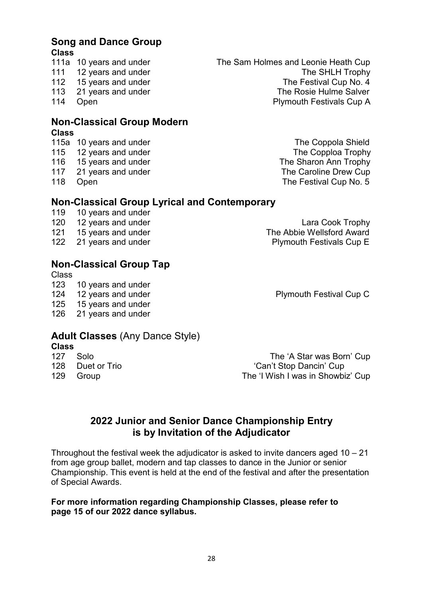## **Song and Dance Group Class**

- 
- 
- 
- 
- 

## **Non-Classical Group Modern**

**Class**

- 
- 
- 
- 
- 

## **Non-Classical Group Lyrical and Contemporary**<br>119 10 years and under

- 119 10 years and under<br>120 12 years and under
- 
- 
- 

## **Non-Classical Group Tap**

Class<br>123

- 10 years and under
- 
- 125 15 years and under
- 126 21 years and under

## **Adult Classes** (Any Dance Style)

- **Class**
- 
- 

127 Solo **127 Solo** The 'A Star was Born' Cup 128 Duet or Trio 'Can't Stop Dancin' Cup 129 Group The 'I Wish I was in Showbiz' Cup

## **2022 Junior and Senior Dance Championship Entry is by Invitation of the Adjudicator**

Throughout the festival week the adjudicator is asked to invite dancers aged  $10 - 21$ from age group ballet, modern and tap classes to dance in the Junior or senior Championship. This event is held at the end of the festival and after the presentation of Special Awards.

## **For more information regarding Championship Classes, please refer to page 15 of our 2022 dance syllabus.**

111a 10 years and under The Sam Holmes and Leonie Heath Cup 111 12 years and under The SHLH Trophy 112 15 years and under The Festival Cup No. 4<br>113 21 years and under The Rosie Hulme Salver 21 years and under The Rosie Hulme Salver 114 Open **Plymouth Festivals Cup A** 

115a 10 years and under The Coppola Shield<br>115 12 years and under The Coppola Trophy 12 years and under The Copploa Trophy 116 15 years and under The Sharon Ann Trophy 117 21 years and under The Caroline Drew Cup 118 Open **The Festival Cup No. 5** 

120 12 years and under Lara Cook Trophy<br>121 15 years and under **Lara Cook Trophy**<br>The Abbie Wellsford Award 15 years and under The Abbie Wellsford Award 122 21 years and under **Plymouth Festivals Cup E** 

124 12 years and under **Plymouth Festival Cup C**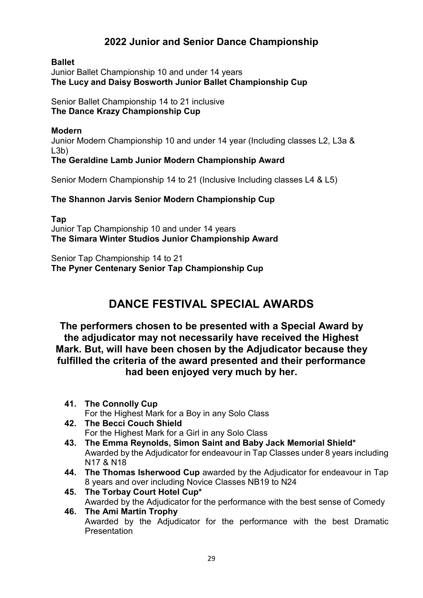## **2022 Junior and Senior Dance Championship**

## **Ballet**

Junior Ballet Championship 10 and under 14 years **The Lucy and Daisy Bosworth Junior Ballet Championship Cup**

Senior Ballet Championship 14 to 21 inclusive **The Dance Krazy Championship Cup**

### **Modern**

Junior Modern Championship 10 and under 14 year (Including classes L2, L3a & L3b)

## **The Geraldine Lamb Junior Modern Championship Award**

Senior Modern Championship 14 to 21 (Inclusive Including classes L4 & L5)

## **The Shannon Jarvis Senior Modern Championship Cup**

**Tap** Junior Tap Championship 10 and under 14 years **The Simara Winter Studios Junior Championship Award**

Senior Tap Championship 14 to 21 **The Pyner Centenary Senior Tap Championship Cup**

## **DANCE FESTIVAL SPECIAL AWARDS**

**The performers chosen to be presented with a Special Award by the adjudicator may not necessarily have received the Highest Mark. But, will have been chosen by the Adjudicator because they fulfilled the criteria of the award presented and their performance had been enjoyed very much by her.**

- **41. The Connolly Cup** For the Highest Mark for a Boy in any Solo Class
- **42. The Becci Couch Shield** For the Highest Mark for a Girl in any Solo Class
- **43. The Emma Reynolds, Simon Saint and Baby Jack Memorial Shield\*** Awarded by the Adjudicator for endeavour in Tap Classes under 8 years including N17 & N18
- **44. The Thomas Isherwood Cup** awarded by the Adjudicator for endeavour in Tap 8 years and over including Novice Classes NB19 to N24
- **45. The Torbay Court Hotel Cup\*** Awarded by the Adjudicator for the performance with the best sense of Comedy **46. The Ami Martin Trophy**

Awarded by the Adjudicator for the performance with the best Dramatic Presentation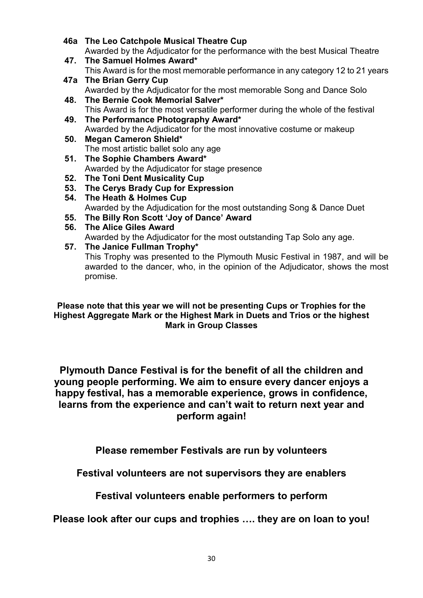- **46a The Leo Catchpole Musical Theatre Cup** Awarded by the Adjudicator for the performance with the best Musical Theatre **47. The Samuel Holmes Award\***
- This Award is for the most memorable performance in any category 12 to 21 years **47a The Brian Gerry Cup**
- Awarded by the Adjudicator for the most memorable Song and Dance Solo **48. The Bernie Cook Memorial Salver\***
- This Award is for the most versatile performer during the whole of the festival **49. The Performance Photography Award\***
	- Awarded by the Adjudicator for the most innovative costume or makeup
- **50. Megan Cameron Shield\*** The most artistic ballet solo any age
- **51. The Sophie Chambers Award\*** Awarded by the Adjudicator for stage presence
- **52. The Toni Dent Musicality Cup**
- **53. The Cerys Brady Cup for Expression**
- **54. The Heath & Holmes Cup** Awarded by the Adjudication for the most outstanding Song & Dance Duet
- **55. The Billy Ron Scott 'Joy of Dance' Award**
- **56. The Alice Giles Award**
	- Awarded by the Adjudicator for the most outstanding Tap Solo any age.

## **57. The Janice Fullman Trophy\***

This Trophy was presented to the Plymouth Music Festival in 1987, and will be awarded to the dancer, who, in the opinion of the Adjudicator, shows the most promise.

**Please note that this year we will not be presenting Cups or Trophies for the Highest Aggregate Mark or the Highest Mark in Duets and Trios or the highest Mark in Group Classes** 

**Plymouth Dance Festival is for the benefit of all the children and young people performing. We aim to ensure every dancer enjoys a happy festival, has a memorable experience, grows in confidence, learns from the experience and can't wait to return next year and perform again!**

**Please remember Festivals are run by volunteers**

**Festival volunteers are not supervisors they are enablers**

**Festival volunteers enable performers to perform**

**Please look after our cups and trophies …. they are on loan to you!**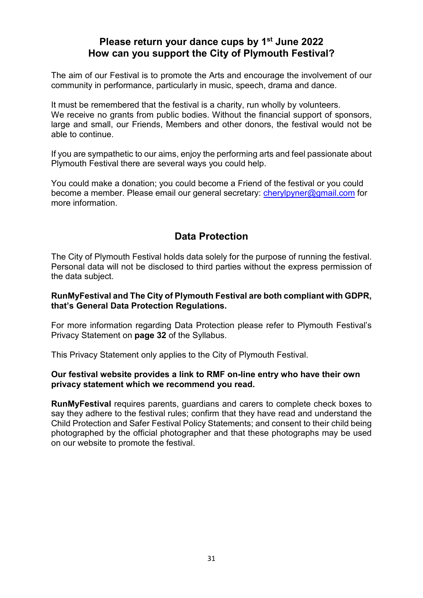## **Please return your dance cups by 1st June 2022 How can you support the City of Plymouth Festival?**

The aim of our Festival is to promote the Arts and encourage the involvement of our community in performance, particularly in music, speech, drama and dance.

It must be remembered that the festival is a charity, run wholly by volunteers. We receive no grants from public bodies. Without the financial support of sponsors, large and small, our Friends, Members and other donors, the festival would not be able to continue.

If you are sympathetic to our aims, enjoy the performing arts and feel passionate about Plymouth Festival there are several ways you could help.

You could make a donation; you could become a Friend of the festival or you could become a member. Please email our general secretary: [cherylpyner@gmail.com](mailto:cherylpyner@gmail.com) for more information.

## **Data Protection**

The City of Plymouth Festival holds data solely for the purpose of running the festival. Personal data will not be disclosed to third parties without the express permission of the data subject.

### **RunMyFestival and The City of Plymouth Festival are both compliant with GDPR, that's General Data Protection Regulations.**

For more information regarding Data Protection please refer to Plymouth Festival's Privacy Statement on **page 32** of the Syllabus.

This Privacy Statement only applies to the City of Plymouth Festival.

### **Our festival website provides a link to RMF on-line entry who have their own privacy statement which we recommend you read.**

**RunMyFestival** requires parents, guardians and carers to complete check boxes to say they adhere to the festival rules; confirm that they have read and understand the Child Protection and Safer Festival Policy Statements; and consent to their child being photographed by the official photographer and that these photographs may be used on our website to promote the festival.